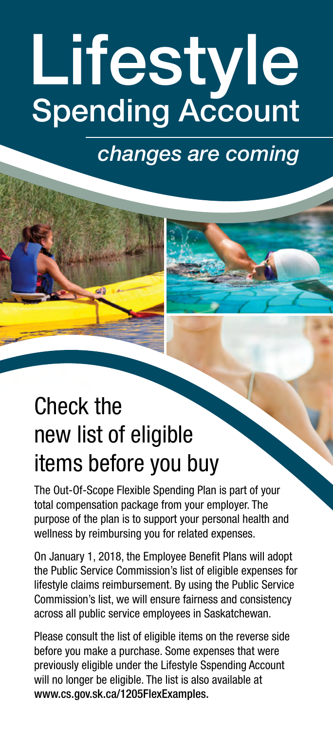# Lifestyle Spending Account

*changes are coming*

# Check the new list of eligible items before you buy

The Out-Of-Scope Flexible Spending Plan is part of your total compensation package from your employer. The purpose of the plan is to support your personal health and wellness by reimbursing you for related expenses.

On January 1, 2018, the Employee Benefit Plans will adopt the Public Service Commission's list of eligible expenses for lifestyle claims reimbursement. By using the Public Service Commission's list, we will ensure fairness and consistency across all public service employees in Saskatchewan.

Please consult the list of eligible items on the reverse side before you make a purchase. Some expenses that were previously eligible under the Lifestyle Sspending Account will no longer be eligible. The list is also available at [www.cs.gov.sk.ca/1205FlexExamples.](http://www.cs.gov.sk.ca/1205FlexExamples)